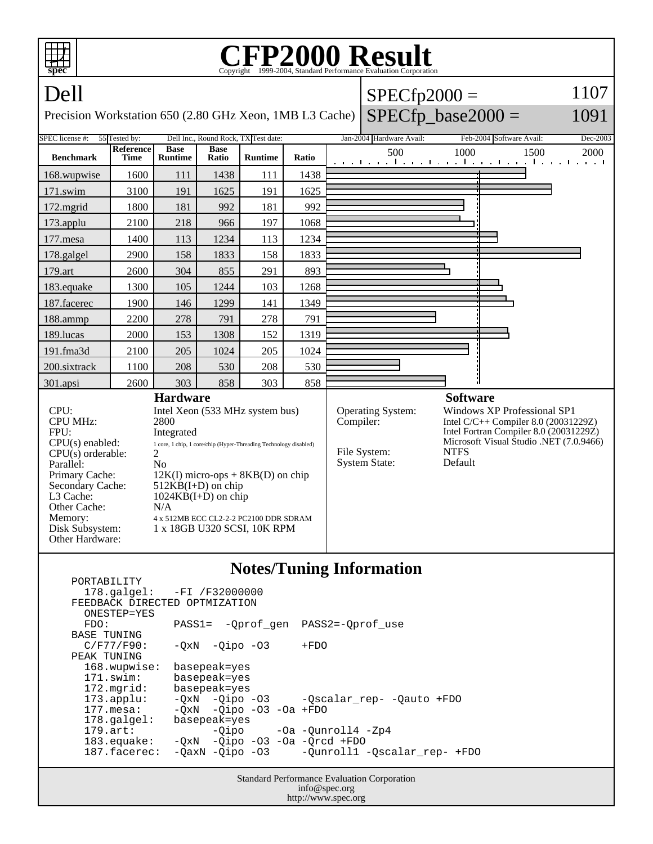

| PORTABILITY                   |                                                    |  |
|-------------------------------|----------------------------------------------------|--|
|                               | 178.galgel: -FI /F32000000                         |  |
| FEEDBACK DIRECTED OPTMIZATION |                                                    |  |
| ONESTEP=YES                   |                                                    |  |
| FDO:                          | PASS1= -Oprof gen PASS2=-Oprof use                 |  |
| <b>BASE TUNING</b>            |                                                    |  |
| $C/F77/F90$ :                 | $-0xN - 0ipo - 03$<br>$+FDO$                       |  |
| PEAK TUNING                   |                                                    |  |
| 168.wupwise:                  | basepeak=yes                                       |  |
| $171$ .swim:                  | basepeak=yes                                       |  |
| 172.mgrid:                    | basepeak=yes                                       |  |
| $173.appendu$ :               | -QxN -Qipo -03 - Qscalar_rep- -Qauto +FDO          |  |
| $177.\text{mesa}$ :           | $-OxN$ $-Oipo$ $-O3$ $-Oa$ $+FDO$                  |  |
| $178.\text{qalgel}$ :         | basepeak=yes                                       |  |
| $179.\text{art}$ :            | $-Oipo$ $-Oa$ $-Ounroll4$ $-Zp4$                   |  |
| 183.equake:                   | $-QxN$ -Qipo -O3 -Oa -Qrcd +FDO                    |  |
| $187.facerec$ :               | -OaxN -Oipo -O3 -Ounroll1 -Oscalar rep- +FDO       |  |
|                               |                                                    |  |
|                               | <b>Standard Performance Evaluation Corporation</b> |  |
|                               | $\ldots$ f = $\omega$ = $\ldots$ = $\ldots$ =      |  |

info@spec.org http://www.spec.org